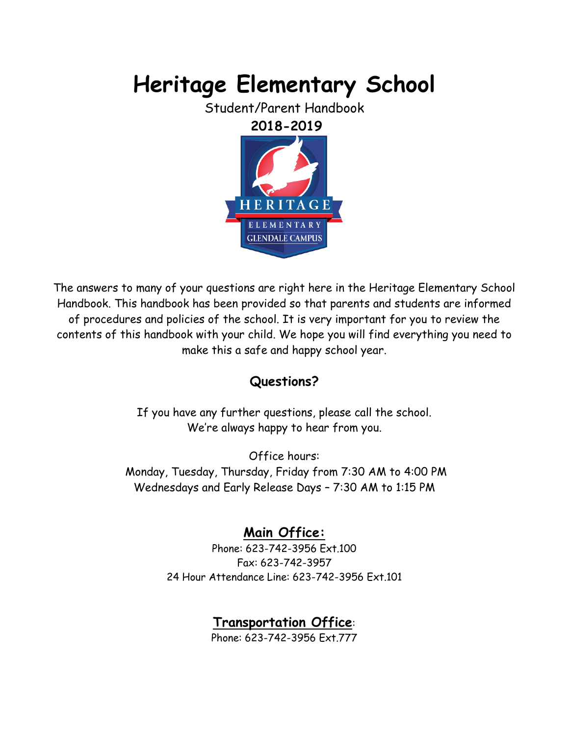# **Heritage Elementary School**

Student/Parent Handbook



The answers to many of your questions are right here in the Heritage Elementary School Handbook. This handbook has been provided so that parents and students are informed of procedures and policies of the school. It is very important for you to review the contents of this handbook with your child. We hope you will find everything you need to make this a safe and happy school year.

# **Questions?**

If you have any further questions, please call the school. We're always happy to hear from you.

Office hours: Monday, Tuesday, Thursday, Friday from 7:30 AM to 4:00 PM Wednesdays and Early Release Days – 7:30 AM to 1:15 PM

# **Main Office:**

Phone: 623-742-3956 Ext.100 Fax: 623-742-3957 24 Hour Attendance Line: 623-742-3956 Ext.101

# **Transportation Office**:

Phone: 623-742-3956 Ext.777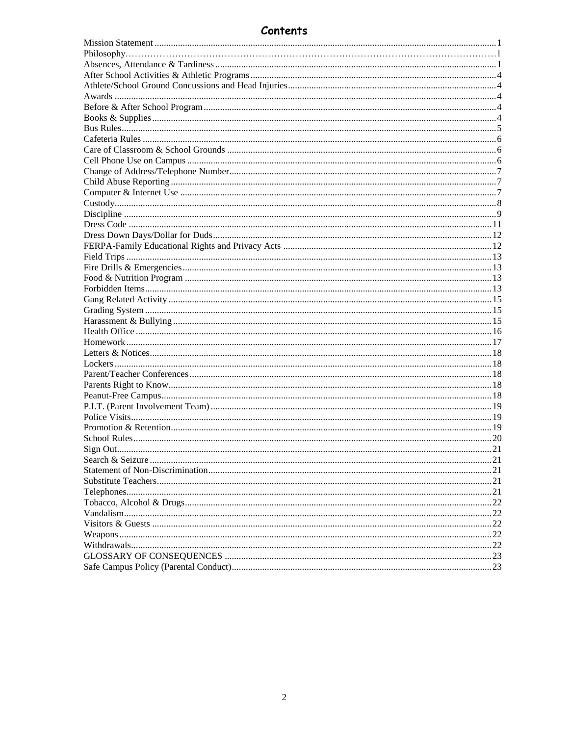## Contents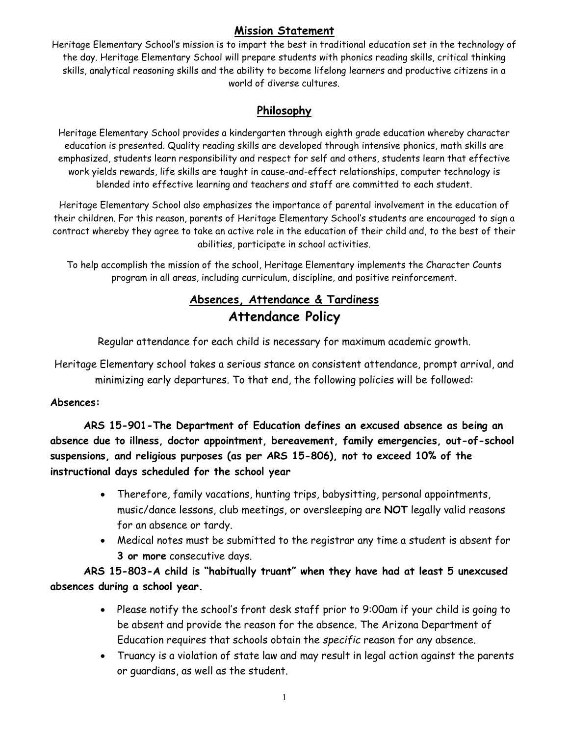## **Mission Statement**

<span id="page-2-0"></span>Heritage Elementary School's mission is to impart the best in traditional education set in the technology of the day. Heritage Elementary School will prepare students with phonics reading skills, critical thinking skills, analytical reasoning skills and the ability to become lifelong learners and productive citizens in a world of diverse cultures.

## **Philosophy**

Heritage Elementary School provides a kindergarten through eighth grade education whereby character education is presented. Quality reading skills are developed through intensive phonics, math skills are emphasized, students learn responsibility and respect for self and others, students learn that effective work yields rewards, life skills are taught in cause-and-effect relationships, computer technology is blended into effective learning and teachers and staff are committed to each student.

Heritage Elementary School also emphasizes the importance of parental involvement in the education of their children. For this reason, parents of Heritage Elementary School's students are encouraged to sign a contract whereby they agree to take an active role in the education of their child and, to the best of their abilities, participate in school activities.

<span id="page-2-1"></span>To help accomplish the mission of the school, Heritage Elementary implements the Character Counts program in all areas, including curriculum, discipline, and positive reinforcement.

## **Absences, Attendance & Tardiness Attendance Policy**

Regular attendance for each child is necessary for maximum academic growth.

Heritage Elementary school takes a serious stance on consistent attendance, prompt arrival, and minimizing early departures. To that end, the following policies will be followed:

#### **Absences:**

**ARS 15-901-The Department of Education defines an excused absence as being an absence due to illness, doctor appointment, bereavement, family emergencies, out-of-school suspensions, and religious purposes (as per ARS 15-806), not to exceed 10% of the instructional days scheduled for the school year** 

- Therefore, family vacations, hunting trips, babysitting, personal appointments, music/dance lessons, club meetings, or oversleeping are **NOT** legally valid reasons for an absence or tardy.
- Medical notes must be submitted to the registrar any time a student is absent for **3 or more** consecutive days.

**ARS 15-803-A child is "habitually truant" when they have had at least 5 unexcused absences during a school year.** 

- Please notify the school's front desk staff prior to 9:00am if your child is going to be absent and provide the reason for the absence. The Arizona Department of Education requires that schools obtain the *specific* reason for any absence.
- Truancy is a violation of state law and may result in legal action against the parents or guardians, as well as the student.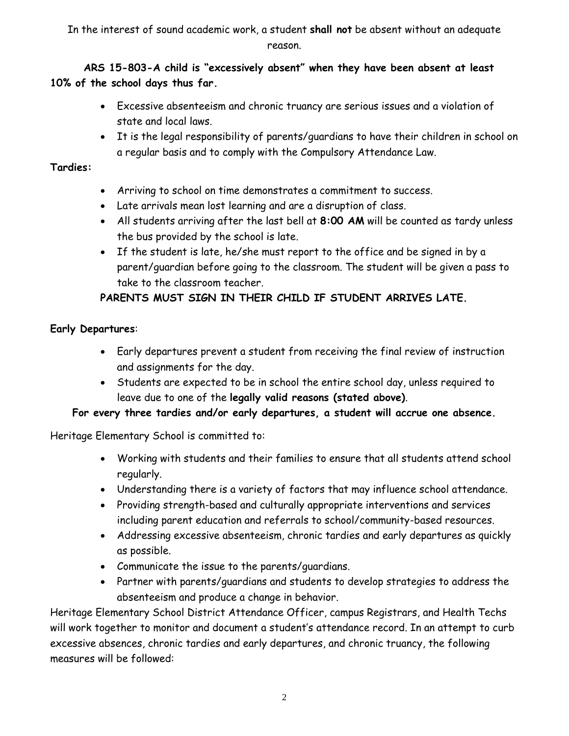In the interest of sound academic work, a student **shall not** be absent without an adequate reason.

**ARS 15-803-A child is "excessively absent" when they have been absent at least 10% of the school days thus far.** 

- Excessive absenteeism and chronic truancy are serious issues and a violation of state and local laws.
- It is the legal responsibility of parents/guardians to have their children in school on a regular basis and to comply with the Compulsory Attendance Law.

#### **Tardies:**

- Arriving to school on time demonstrates a commitment to success.
- Late arrivals mean lost learning and are a disruption of class.
- All students arriving after the last bell at **8:00 AM** will be counted as tardy unless the bus provided by the school is late.
- If the student is late, he/she must report to the office and be signed in by a parent/guardian before going to the classroom. The student will be given a pass to take to the classroom teacher.

## **PARENTS MUST SIGN IN THEIR CHILD IF STUDENT ARRIVES LATE.**

#### **Early Departures**:

- Early departures prevent a student from receiving the final review of instruction and assignments for the day.
- Students are expected to be in school the entire school day, unless required to leave due to one of the **legally valid reasons (stated above)**.

## **For every three tardies and/or early departures, a student will accrue one absence.**

Heritage Elementary School is committed to:

- Working with students and their families to ensure that all students attend school regularly.
- Understanding there is a variety of factors that may influence school attendance.
- Providing strength-based and culturally appropriate interventions and services including parent education and referrals to school/community-based resources.
- Addressing excessive absenteeism, chronic tardies and early departures as quickly as possible.
- Communicate the issue to the parents/guardians.
- Partner with parents/guardians and students to develop strategies to address the absenteeism and produce a change in behavior.

Heritage Elementary School District Attendance Officer, campus Registrars, and Health Techs will work together to monitor and document a student's attendance record. In an attempt to curb excessive absences, chronic tardies and early departures, and chronic truancy, the following measures will be followed: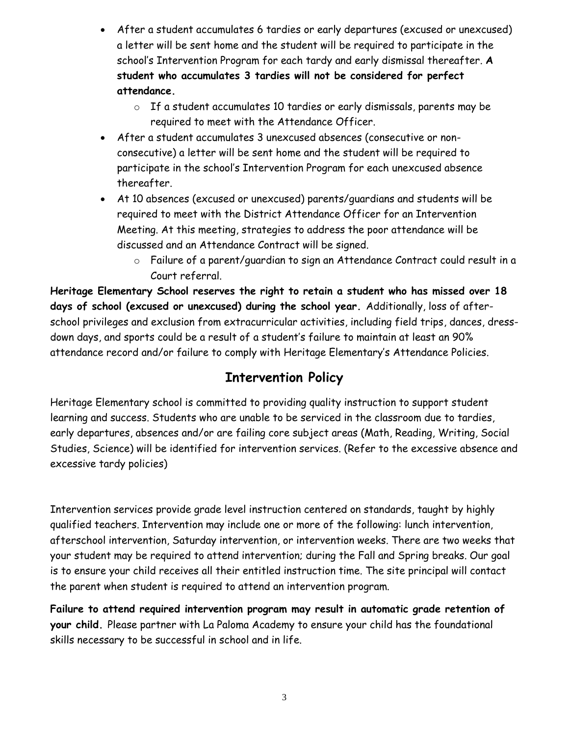- After a student accumulates 6 tardies or early departures (excused or unexcused) a letter will be sent home and the student will be required to participate in the school's Intervention Program for each tardy and early dismissal thereafter. **A student who accumulates 3 tardies will not be considered for perfect attendance.** 
	- o If a student accumulates 10 tardies or early dismissals, parents may be required to meet with the Attendance Officer.
- After a student accumulates 3 unexcused absences (consecutive or nonconsecutive) a letter will be sent home and the student will be required to participate in the school's Intervention Program for each unexcused absence thereafter.
- At 10 absences (excused or unexcused) parents/guardians and students will be required to meet with the District Attendance Officer for an Intervention Meeting. At this meeting, strategies to address the poor attendance will be discussed and an Attendance Contract will be signed.
	- o Failure of a parent/guardian to sign an Attendance Contract could result in a Court referral.

**Heritage Elementary School reserves the right to retain a student who has missed over 18 days of school (excused or unexcused) during the school year.** Additionally, loss of afterschool privileges and exclusion from extracurricular activities, including field trips, dances, dressdown days, and sports could be a result of a student's failure to maintain at least an 90% attendance record and/or failure to comply with Heritage Elementary's Attendance Policies.

# **Intervention Policy**

Heritage Elementary school is committed to providing quality instruction to support student learning and success. Students who are unable to be serviced in the classroom due to tardies, early departures, absences and/or are failing core subject areas (Math, Reading, Writing, Social Studies, Science) will be identified for intervention services. (Refer to the excessive absence and excessive tardy policies)

Intervention services provide grade level instruction centered on standards, taught by highly qualified teachers. Intervention may include one or more of the following: lunch intervention, afterschool intervention, Saturday intervention, or intervention weeks. There are two weeks that your student may be required to attend intervention; during the Fall and Spring breaks. Our goal is to ensure your child receives all their entitled instruction time. The site principal will contact the parent when student is required to attend an intervention program.

**Failure to attend required intervention program may result in automatic grade retention of your child.** Please partner with La Paloma Academy to ensure your child has the foundational skills necessary to be successful in school and in life.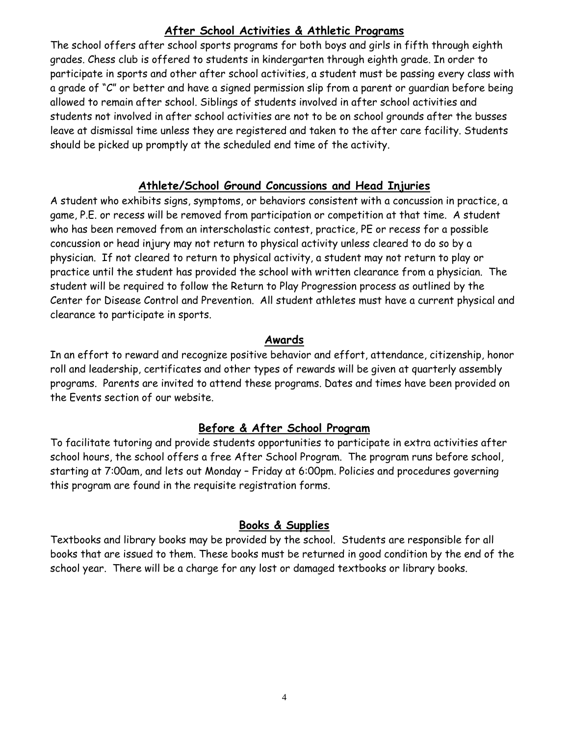## **After School Activities & Athletic Programs**

<span id="page-5-0"></span>The school offers after school sports programs for both boys and girls in fifth through eighth grades. Chess club is offered to students in kindergarten through eighth grade. In order to participate in sports and other after school activities, a student must be passing every class with a grade of "C" or better and have a signed permission slip from a parent or guardian before being allowed to remain after school. Siblings of students involved in after school activities and students not involved in after school activities are not to be on school grounds after the busses leave at dismissal time unless they are registered and taken to the after care facility. Students should be picked up promptly at the scheduled end time of the activity.

## **Athlete/School Ground Concussions and Head Injuries**

<span id="page-5-1"></span>A student who exhibits signs, symptoms, or behaviors consistent with a concussion in practice, a game, P.E. or recess will be removed from participation or competition at that time. A student who has been removed from an interscholastic contest, practice, PE or recess for a possible concussion or head injury may not return to physical activity unless cleared to do so by a physician. If not cleared to return to physical activity, a student may not return to play or practice until the student has provided the school with written clearance from a physician. The student will be required to follow the Return to Play Progression process as outlined by the Center for Disease Control and Prevention. All student athletes must have a current physical and clearance to participate in sports.

#### **Awards**

<span id="page-5-2"></span>In an effort to reward and recognize positive behavior and effort, attendance, citizenship, honor roll and leadership, certificates and other types of rewards will be given at quarterly assembly programs. Parents are invited to attend these programs. Dates and times have been provided on the Events section of our website.

## **Before & After School Program**

<span id="page-5-3"></span>To facilitate tutoring and provide students opportunities to participate in extra activities after school hours, the school offers a free After School Program. The program runs before school, starting at 7:00am, and lets out Monday – Friday at 6:00pm. Policies and procedures governing this program are found in the requisite registration forms.

#### **Books & Supplies**

<span id="page-5-4"></span>Textbooks and library books may be provided by the school. Students are responsible for all books that are issued to them. These books must be returned in good condition by the end of the school year. There will be a charge for any lost or damaged textbooks or library books.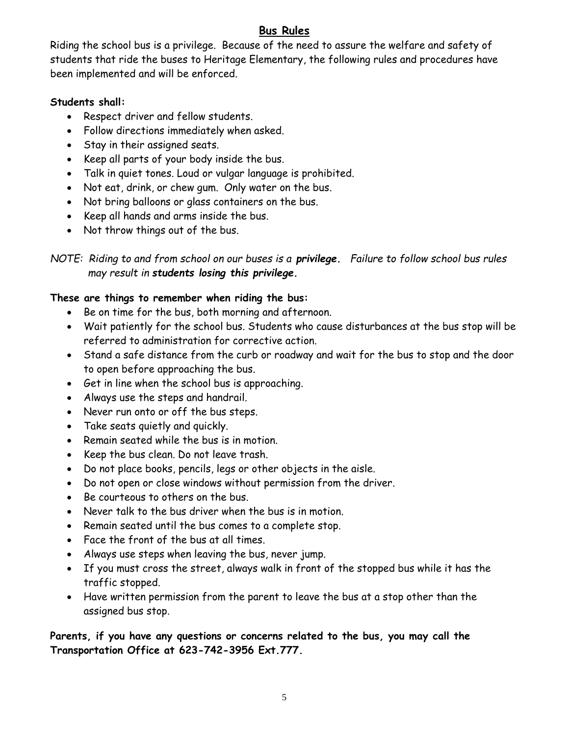## **Bus Rules**

<span id="page-6-0"></span>Riding the school bus is a privilege. Because of the need to assure the welfare and safety of students that ride the buses to Heritage Elementary, the following rules and procedures have been implemented and will be enforced.

#### **Students shall:**

- Respect driver and fellow students.
- Follow directions immediately when asked.
- Stay in their assigned seats.
- Keep all parts of your body inside the bus.
- Talk in quiet tones. Loud or vulgar language is prohibited.
- Not eat, drink, or chew gum. Only water on the bus.
- Not bring balloons or glass containers on the bus.
- Keep all hands and arms inside the bus.
- Not throw things out of the bus.

#### **These are things to remember when riding the bus:**

- Be on time for the bus, both morning and afternoon.
- Wait patiently for the school bus. Students who cause disturbances at the bus stop will be referred to administration for corrective action.
- Stand a safe distance from the curb or roadway and wait for the bus to stop and the door to open before approaching the bus.
- Get in line when the school bus is approaching.
- Always use the steps and handrail.
- Never run onto or off the bus steps.
- Take seats quietly and quickly.
- Remain seated while the bus is in motion.
- Keep the bus clean. Do not leave trash.
- Do not place books, pencils, legs or other objects in the aisle.
- Do not open or close windows without permission from the driver.
- Be courteous to others on the bus.
- Never talk to the bus driver when the bus is in motion.
- Remain seated until the bus comes to a complete stop.
- Face the front of the bus at all times.
- Always use steps when leaving the bus, never jump.
- If you must cross the street, always walk in front of the stopped bus while it has the traffic stopped.
- Have written permission from the parent to leave the bus at a stop other than the assigned bus stop.

**Parents, if you have any questions or concerns related to the bus, you may call the Transportation Office at 623-742-3956 Ext.777.**

*NOTE: Riding to and from school on our buses is a privilege. Failure to follow school bus rules may result in students losing this privilege.*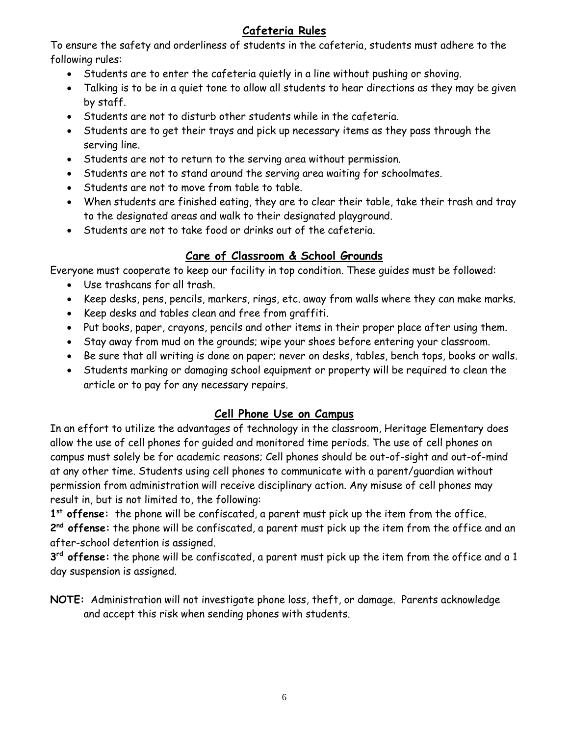## **Cafeteria Rules**

<span id="page-7-0"></span>To ensure the safety and orderliness of students in the cafeteria, students must adhere to the following rules:

- Students are to enter the cafeteria quietly in a line without pushing or shoving.
- Talking is to be in a quiet tone to allow all students to hear directions as they may be given by staff.
- Students are not to disturb other students while in the cafeteria.
- Students are to get their trays and pick up necessary items as they pass through the serving line.
- Students are not to return to the serving area without permission.
- Students are not to stand around the serving area waiting for schoolmates.
- Students are not to move from table to table.
- When students are finished eating, they are to clear their table, take their trash and tray to the designated areas and walk to their designated playground.
- Students are not to take food or drinks out of the cafeteria.

## **Care of Classroom & School Grounds**

<span id="page-7-1"></span>Everyone must cooperate to keep our facility in top condition. These guides must be followed:

- Use trashcans for all trash.
- Keep desks, pens, pencils, markers, rings, etc. away from walls where they can make marks.
- Keep desks and tables clean and free from graffiti.
- Put books, paper, crayons, pencils and other items in their proper place after using them.
- Stay away from mud on the grounds; wipe your shoes before entering your classroom.
- Be sure that all writing is done on paper; never on desks, tables, bench tops, books or walls.
- Students marking or damaging school equipment or property will be required to clean the article or to pay for any necessary repairs.

## **Cell Phone Use on Campus**

<span id="page-7-2"></span>In an effort to utilize the advantages of technology in the classroom, Heritage Elementary does allow the use of cell phones for guided and monitored time periods. The use of cell phones on campus must solely be for academic reasons; Cell phones should be out-of-sight and out-of-mind at any other time. Students using cell phones to communicate with a parent/guardian without permission from administration will receive disciplinary action. Any misuse of cell phones may result in, but is not limited to, the following:

**1 st offense:** the phone will be confiscated, a parent must pick up the item from the office. **2 nd offense:** the phone will be confiscated, a parent must pick up the item from the office and an after-school detention is assigned.

**3 rd offense:** the phone will be confiscated, a parent must pick up the item from the office and a 1 day suspension is assigned.

**NOTE:** Administration will not investigate phone loss, theft, or damage. Parents acknowledge and accept this risk when sending phones with students.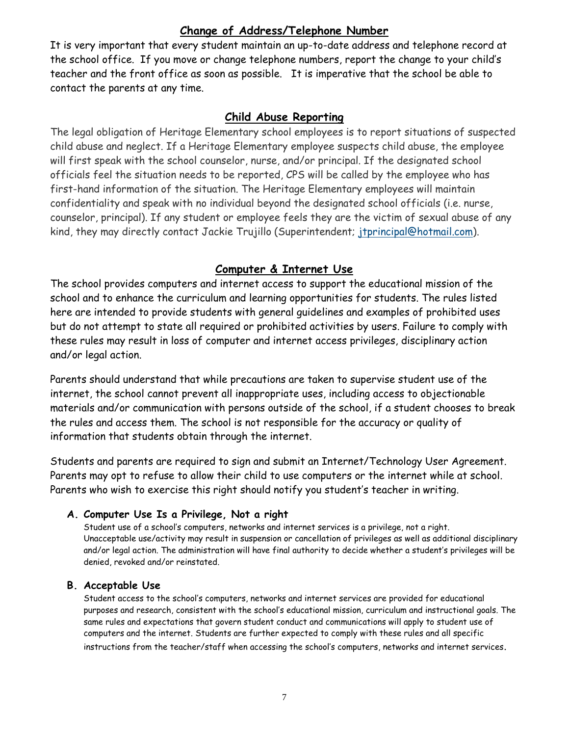## **Change of Address/Telephone Number**

<span id="page-8-0"></span>It is very important that every student maintain an up-to-date address and telephone record at the school office. If you move or change telephone numbers, report the change to your child's teacher and the front office as soon as possible. It is imperative that the school be able to contact the parents at any time.

#### **Child Abuse Reporting**

<span id="page-8-1"></span>The legal obligation of Heritage Elementary school employees is to report situations of suspected child abuse and neglect. If a Heritage Elementary employee suspects child abuse, the employee will first speak with the school counselor, nurse, and/or principal. If the designated school officials feel the situation needs to be reported, CPS will be called by the employee who has first-hand information of the situation. The Heritage Elementary employees will maintain confidentiality and speak with no individual beyond the designated school officials (i.e. nurse, counselor, principal). If any student or employee feels they are the victim of sexual abuse of any kind, they may directly contact Jackie Trujillo (Superintendent; [jtprincipal@hotmail.com\)](http://us.mc572.mail.yahoo.com/mc/compose?to=jtprincipal@hotmail.com).

## **Computer & Internet Use**

<span id="page-8-2"></span>The school provides computers and internet access to support the educational mission of the school and to enhance the curriculum and learning opportunities for students. The rules listed here are intended to provide students with general guidelines and examples of prohibited uses but do not attempt to state all required or prohibited activities by users. Failure to comply with these rules may result in loss of computer and internet access privileges, disciplinary action and/or legal action.

Parents should understand that while precautions are taken to supervise student use of the internet, the school cannot prevent all inappropriate uses, including access to objectionable materials and/or communication with persons outside of the school, if a student chooses to break the rules and access them. The school is not responsible for the accuracy or quality of information that students obtain through the internet.

Students and parents are required to sign and submit an Internet/Technology User Agreement. Parents may opt to refuse to allow their child to use computers or the internet while at school. Parents who wish to exercise this right should notify you student's teacher in writing.

#### **A. Computer Use Is a Privilege, Not a right**

Student use of a school's computers, networks and internet services is a privilege, not a right. Unacceptable use/activity may result in suspension or cancellation of privileges as well as additional disciplinary and/or legal action. The administration will have final authority to decide whether a student's privileges will be denied, revoked and/or reinstated.

#### **B. Acceptable Use**

Student access to the school's computers, networks and internet services are provided for educational purposes and research, consistent with the school's educational mission, curriculum and instructional goals. The same rules and expectations that govern student conduct and communications will apply to student use of computers and the internet. Students are further expected to comply with these rules and all specific instructions from the teacher/staff when accessing the school's computers, networks and internet services.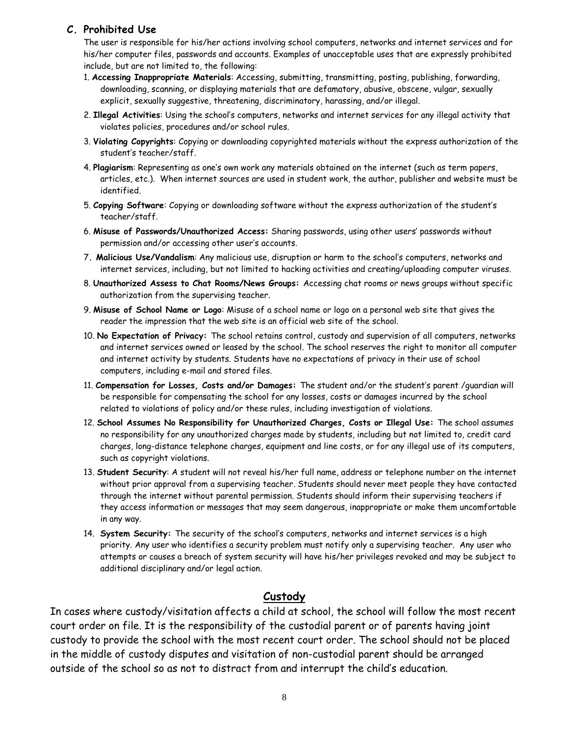#### **C. Prohibited Use**

The user is responsible for his/her actions involving school computers, networks and internet services and for his/her computer files, passwords and accounts. Examples of unacceptable uses that are expressly prohibited include, but are not limited to, the following:

- 1. **Accessing Inappropriate Materials**: Accessing, submitting, transmitting, posting, publishing, forwarding, downloading, scanning, or displaying materials that are defamatory, abusive, obscene, vulgar, sexually explicit, sexually suggestive, threatening, discriminatory, harassing, and/or illegal.
- 2. **Illegal Activities**: Using the school's computers, networks and internet services for any illegal activity that violates policies, procedures and/or school rules.
- 3. **Violating Copyrights**: Copying or downloading copyrighted materials without the express authorization of the student's teacher/staff.
- 4. **Plagiarism**: Representing as one's own work any materials obtained on the internet (such as term papers, articles, etc.). When internet sources are used in student work, the author, publisher and website must be identified.
- 5. **Copying Software**: Copying or downloading software without the express authorization of the student's teacher/staff.
- 6. **Misuse of Passwords/Unauthorized Access:** Sharing passwords, using other users' passwords without permission and/or accessing other user's accounts.
- 7**. Malicious Use/Vandalism**: Any malicious use, disruption or harm to the school's computers, networks and internet services, including, but not limited to hacking activities and creating/uploading computer viruses.
- 8. **Unauthorized Assess to Chat Rooms/News Groups:** Accessing chat rooms or news groups without specific authorization from the supervising teacher.
- 9. **Misuse of School Name or Logo**: Misuse of a school name or logo on a personal web site that gives the reader the impression that the web site is an official web site of the school.
- 10. **No Expectation of Privacy:** The school retains control, custody and supervision of all computers, networks and internet services owned or leased by the school. The school reserves the right to monitor all computer and internet activity by students. Students have no expectations of privacy in their use of school computers, including e-mail and stored files.
- 11. **Compensation for Losses, Costs and/or Damages:** The student and/or the student's parent /guardian will be responsible for compensating the school for any losses, costs or damages incurred by the school related to violations of policy and/or these rules, including investigation of violations.
- 12. **School Assumes No Responsibility for Unauthorized Charges, Costs or Illegal Use:** The school assumes no responsibility for any unauthorized charges made by students, including but not limited to, credit card charges, long-distance telephone charges, equipment and line costs, or for any illegal use of its computers, such as copyright violations.
- 13. **Student Security**: A student will not reveal his/her full name, address or telephone number on the internet without prior approval from a supervising teacher. Students should never meet people they have contacted through the internet without parental permission. Students should inform their supervising teachers if they access information or messages that may seem dangerous, inappropriate or make them uncomfortable in any way.
- 14. **System Security:** The security of the school's computers, networks and internet services is a high priority. Any user who identifies a security problem must notify only a supervising teacher. Any user who attempts or causes a breach of system security will have his/her privileges revoked and may be subject to additional disciplinary and/or legal action.

#### **Custody**

<span id="page-9-0"></span>In cases where custody/visitation affects a child at school, the school will follow the most recent court order on file. It is the responsibility of the custodial parent or of parents having joint custody to provide the school with the most recent court order. The school should not be placed in the middle of custody disputes and visitation of non-custodial parent should be arranged outside of the school so as not to distract from and interrupt the child's education.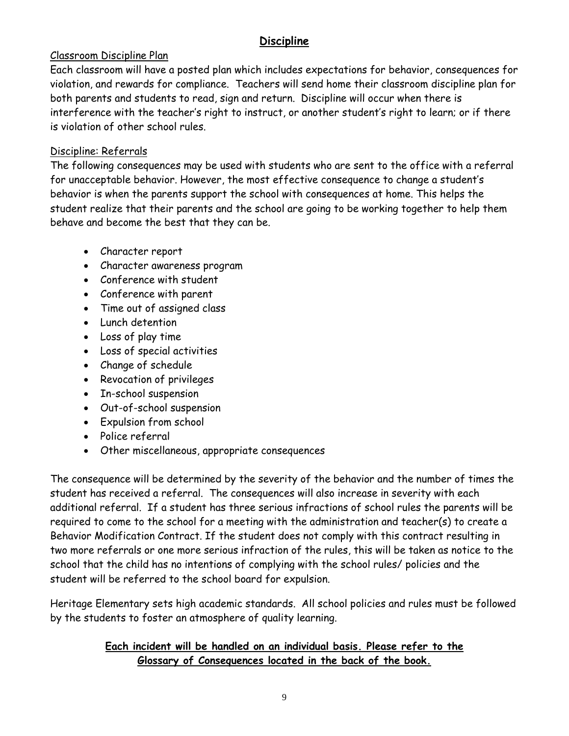## **Discipline**

## <span id="page-10-0"></span>Classroom Discipline Plan

Each classroom will have a posted plan which includes expectations for behavior, consequences for violation, and rewards for compliance. Teachers will send home their classroom discipline plan for both parents and students to read, sign and return. Discipline will occur when there is interference with the teacher's right to instruct, or another student's right to learn; or if there is violation of other school rules.

#### Discipline: Referrals

The following consequences may be used with students who are sent to the office with a referral for unacceptable behavior. However, the most effective consequence to change a student's behavior is when the parents support the school with consequences at home. This helps the student realize that their parents and the school are going to be working together to help them behave and become the best that they can be.

- Character report
- Character awareness program
- Conference with student
- Conference with parent
- Time out of assigned class
- Lunch detention
- Loss of play time
- Loss of special activities
- Change of schedule
- Revocation of privileges
- In-school suspension
- Out-of-school suspension
- Expulsion from school
- Police referral
- Other miscellaneous, appropriate consequences

The consequence will be determined by the severity of the behavior and the number of times the student has received a referral. The consequences will also increase in severity with each additional referral. If a student has three serious infractions of school rules the parents will be required to come to the school for a meeting with the administration and teacher(s) to create a Behavior Modification Contract. If the student does not comply with this contract resulting in two more referrals or one more serious infraction of the rules, this will be taken as notice to the school that the child has no intentions of complying with the school rules/ policies and the student will be referred to the school board for expulsion.

Heritage Elementary sets high academic standards. All school policies and rules must be followed by the students to foster an atmosphere of quality learning.

## **Each incident will be handled on an individual basis. Please refer to the Glossary of Consequences located in the back of the book.**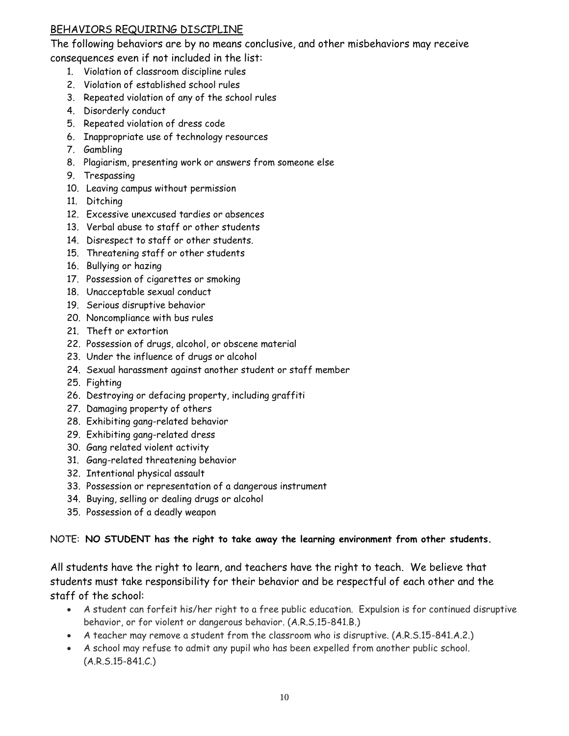#### BEHAVIORS REQUIRING DISCIPLINE

The following behaviors are by no means conclusive, and other misbehaviors may receive consequences even if not included in the list:

- 1. Violation of classroom discipline rules
- 2. Violation of established school rules
- 3. Repeated violation of any of the school rules
- 4. Disorderly conduct
- 5. Repeated violation of dress code
- 6. Inappropriate use of technology resources
- 7. Gambling
- 8. Plagiarism, presenting work or answers from someone else
- 9. Trespassing
- 10. Leaving campus without permission
- 11. Ditching
- 12. Excessive unexcused tardies or absences
- 13. Verbal abuse to staff or other students
- 14. Disrespect to staff or other students.
- 15. Threatening staff or other students
- 16. Bullying or hazing
- 17. Possession of cigarettes or smoking
- 18. Unacceptable sexual conduct
- 19. Serious disruptive behavior
- 20. Noncompliance with bus rules
- 21. Theft or extortion
- 22. Possession of drugs, alcohol, or obscene material
- 23. Under the influence of drugs or alcohol
- 24. Sexual harassment against another student or staff member
- 25. Fighting
- 26. Destroying or defacing property, including graffiti
- 27. Damaging property of others
- 28. Exhibiting gang-related behavior
- 29. Exhibiting gang-related dress
- 30. Gang related violent activity
- 31. Gang-related threatening behavior
- 32. Intentional physical assault
- 33. Possession or representation of a dangerous instrument
- 34. Buying, selling or dealing drugs or alcohol
- 35. Possession of a deadly weapon

#### NOTE: **NO STUDENT has the right to take away the learning environment from other students.**

All students have the right to learn, and teachers have the right to teach. We believe that students must take responsibility for their behavior and be respectful of each other and the staff of the school:

- A student can forfeit his/her right to a free public education. Expulsion is for continued disruptive behavior, or for violent or dangerous behavior. (A.R.S.15-841.B.)
- A teacher may remove a student from the classroom who is disruptive. (A.R.S.15-841.A.2.)
- A school may refuse to admit any pupil who has been expelled from another public school. (A.R.S.15-841.C.)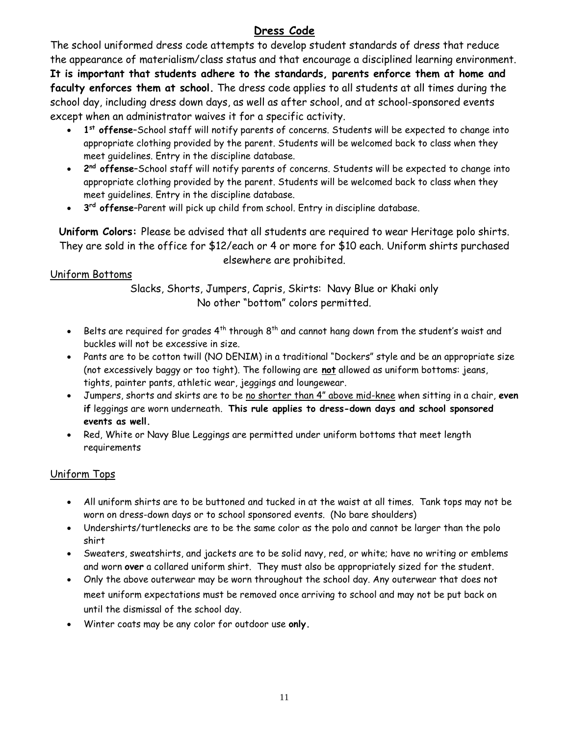## **Dress Code**

<span id="page-12-0"></span>The school uniformed dress code attempts to develop student standards of dress that reduce the appearance of materialism/class status and that encourage a disciplined learning environment. **It is important that students adhere to the standards, parents enforce them at home and faculty enforces them at school.** The dress code applies to all students at all times during the school day, including dress down days, as well as after school, and at school-sponsored events except when an administrator waives it for a specific activity.

- **1 st offense**–School staff will notify parents of concerns. Students will be expected to change into appropriate clothing provided by the parent. Students will be welcomed back to class when they meet guidelines. Entry in the discipline database.
- **2<sup>nd</sup> offense-School staff will notify parents of concerns. Students will be expected to change into** appropriate clothing provided by the parent. Students will be welcomed back to class when they meet guidelines. Entry in the discipline database.
- **3<sup>rd</sup> offense-**Parent will pick up child from school. Entry in discipline database.

**Uniform Colors:** Please be advised that all students are required to wear Heritage polo shirts. They are sold in the office for \$12/each or 4 or more for \$10 each. Uniform shirts purchased elsewhere are prohibited.

## Uniform Bottoms

Slacks, Shorts, Jumpers, Capris, Skirts: Navy Blue or Khaki only No other "bottom" colors permitted.

- Belts are required for grades  $4^{th}$  through  $8^{th}$  and cannot hang down from the student's waist and buckles will not be excessive in size.
- Pants are to be cotton twill (NO DENIM) in a traditional "Dockers" style and be an appropriate size (not excessively baggy or too tight). The following are **not** allowed as uniform bottoms: jeans, tights, painter pants, athletic wear, jeggings and loungewear.
- Jumpers, shorts and skirts are to be no shorter than 4" above mid-knee when sitting in a chair, **even if** leggings are worn underneath. **This rule applies to dress-down days and school sponsored events as well.**
- Red, White or Navy Blue Leggings are permitted under uniform bottoms that meet length requirements

## Uniform Tops

- All uniform shirts are to be buttoned and tucked in at the waist at all times. Tank tops may not be worn on dress-down days or to school sponsored events. (No bare shoulders)
- Undershirts/turtlenecks are to be the same color as the polo and cannot be larger than the polo shirt
- Sweaters, sweatshirts, and jackets are to be solid navy, red, or white; have no writing or emblems and worn **over** a collared uniform shirt. They must also be appropriately sized for the student.
- Only the above outerwear may be worn throughout the school day. Any outerwear that does not meet uniform expectations must be removed once arriving to school and may not be put back on until the dismissal of the school day.
- Winter coats may be any color for outdoor use **only.**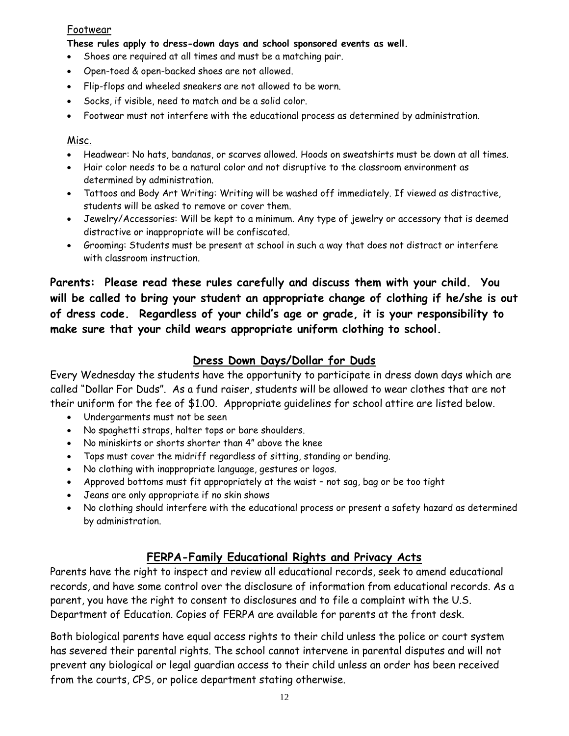#### Footwear

**These rules apply to dress-down days and school sponsored events as well.**

- Shoes are required at all times and must be a matching pair.
- Open-toed & open-backed shoes are not allowed.
- Flip-flops and wheeled sneakers are not allowed to be worn.
- Socks, if visible, need to match and be a solid color.
- Footwear must not interfere with the educational process as determined by administration.

#### Misc.

- Headwear: No hats, bandanas, or scarves allowed. Hoods on sweatshirts must be down at all times.
- Hair color needs to be a natural color and not disruptive to the classroom environment as determined by administration.
- Tattoos and Body Art Writing: Writing will be washed off immediately. If viewed as distractive, students will be asked to remove or cover them.
- Jewelry/Accessories: Will be kept to a minimum. Any type of jewelry or accessory that is deemed distractive or inappropriate will be confiscated.
- Grooming: Students must be present at school in such a way that does not distract or interfere with classroom instruction.

**Parents: Please read these rules carefully and discuss them with your child. You will be called to bring your student an appropriate change of clothing if he/she is out of dress code. Regardless of your child's age or grade, it is your responsibility to make sure that your child wears appropriate uniform clothing to school.**

## **Dress Down Days/Dollar for Duds**

<span id="page-13-0"></span>Every Wednesday the students have the opportunity to participate in dress down days which are called "Dollar For Duds". As a fund raiser, students will be allowed to wear clothes that are not their uniform for the fee of \$1.00. Appropriate guidelines for school attire are listed below.

- Undergarments must not be seen
- No spaghetti straps, halter tops or bare shoulders.
- No miniskirts or shorts shorter than 4" above the knee
- Tops must cover the midriff regardless of sitting, standing or bending.
- No clothing with inappropriate language, gestures or logos.
- Approved bottoms must fit appropriately at the waist not sag, bag or be too tight
- Jeans are only appropriate if no skin shows
- No clothing should interfere with the educational process or present a safety hazard as determined by administration.

## **FERPA-Family Educational Rights and Privacy Acts**

<span id="page-13-1"></span>Parents have the right to inspect and review all educational records, seek to amend educational records, and have some control over the disclosure of information from educational records. As a parent, you have the right to consent to disclosures and to file a complaint with the U.S. Department of Education. Copies of FERPA are available for parents at the front desk.

Both biological parents have equal access rights to their child unless the police or court system has severed their parental rights. The school cannot intervene in parental disputes and will not prevent any biological or legal guardian access to their child unless an order has been received from the courts, CPS, or police department stating otherwise.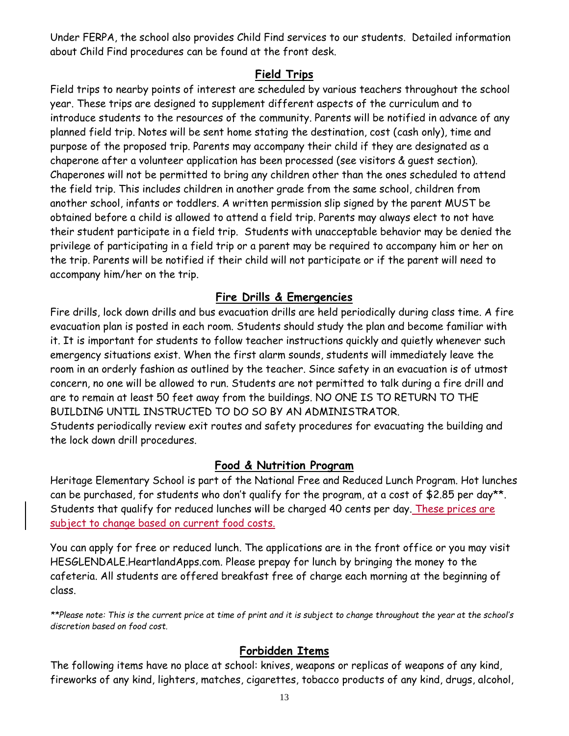Under FERPA, the school also provides Child Find services to our students. Detailed information about Child Find procedures can be found at the front desk.

## **Field Trips**

<span id="page-14-0"></span>Field trips to nearby points of interest are scheduled by various teachers throughout the school year. These trips are designed to supplement different aspects of the curriculum and to introduce students to the resources of the community. Parents will be notified in advance of any planned field trip. Notes will be sent home stating the destination, cost (cash only), time and purpose of the proposed trip. Parents may accompany their child if they are designated as a chaperone after a volunteer application has been processed (see visitors & guest section). Chaperones will not be permitted to bring any children other than the ones scheduled to attend the field trip. This includes children in another grade from the same school, children from another school, infants or toddlers. A written permission slip signed by the parent MUST be obtained before a child is allowed to attend a field trip. Parents may always elect to not have their student participate in a field trip. Students with unacceptable behavior may be denied the privilege of participating in a field trip or a parent may be required to accompany him or her on the trip. Parents will be notified if their child will not participate or if the parent will need to accompany him/her on the trip.

## **Fire Drills & Emergencies**

<span id="page-14-1"></span>Fire drills, lock down drills and bus evacuation drills are held periodically during class time. A fire evacuation plan is posted in each room. Students should study the plan and become familiar with it. It is important for students to follow teacher instructions quickly and quietly whenever such emergency situations exist. When the first alarm sounds, students will immediately leave the room in an orderly fashion as outlined by the teacher. Since safety in an evacuation is of utmost concern, no one will be allowed to run. Students are not permitted to talk during a fire drill and are to remain at least 50 feet away from the buildings. NO ONE IS TO RETURN TO THE BUILDING UNTIL INSTRUCTED TO DO SO BY AN ADMINISTRATOR. Students periodically review exit routes and safety procedures for evacuating the building and the lock down drill procedures.

#### **Food & Nutrition Program**

<span id="page-14-2"></span>Heritage Elementary School is part of the National Free and Reduced Lunch Program. Hot lunches can be purchased, for students who don't qualify for the program, at a cost of \$2.85 per day\*\*. Students that qualify for reduced lunches will be charged 40 cents per day. These prices are subject to change based on current food costs.

You can apply for free or reduced lunch. The applications are in the front office or you may visit HESGLENDALE.HeartlandApps.com. Please prepay for lunch by bringing the money to the cafeteria. All students are offered breakfast free of charge each morning at the beginning of class.

*\*\*Please note: This is the current price at time of print and it is subject to change throughout the year at the school's discretion based on food cost.* 

#### **Forbidden Items**

<span id="page-14-3"></span>The following items have no place at school: knives, weapons or replicas of weapons of any kind, fireworks of any kind, lighters, matches, cigarettes, tobacco products of any kind, drugs, alcohol,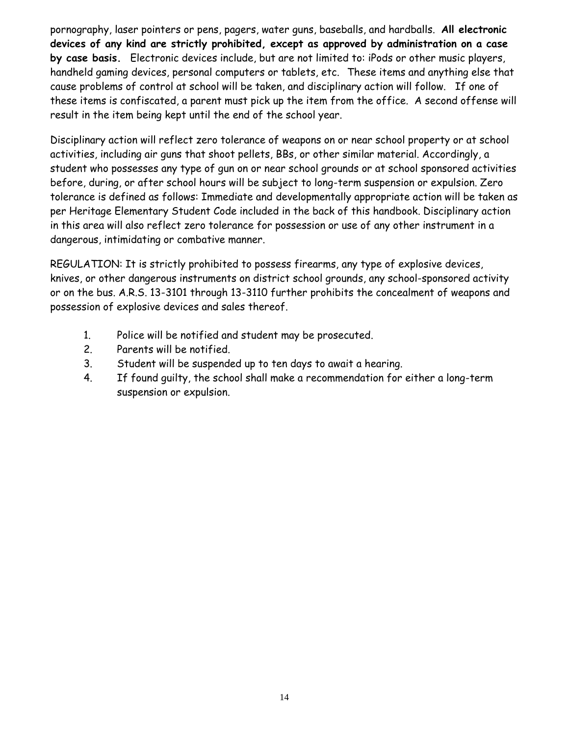pornography, laser pointers or pens, pagers, water guns, baseballs, and hardballs. **All electronic devices of any kind are strictly prohibited, except as approved by administration on a case by case basis.** Electronic devices include, but are not limited to: iPods or other music players, handheld gaming devices, personal computers or tablets, etc. These items and anything else that cause problems of control at school will be taken, and disciplinary action will follow. If one of these items is confiscated, a parent must pick up the item from the office. A second offense will result in the item being kept until the end of the school year.

Disciplinary action will reflect zero tolerance of weapons on or near school property or at school activities, including air guns that shoot pellets, BBs, or other similar material. Accordingly, a student who possesses any type of gun on or near school grounds or at school sponsored activities before, during, or after school hours will be subject to long-term suspension or expulsion. Zero tolerance is defined as follows: Immediate and developmentally appropriate action will be taken as per Heritage Elementary Student Code included in the back of this handbook. Disciplinary action in this area will also reflect zero tolerance for possession or use of any other instrument in a dangerous, intimidating or combative manner.

REGULATION: It is strictly prohibited to possess firearms, any type of explosive devices, knives, or other dangerous instruments on district school grounds, any school-sponsored activity or on the bus. A.R.S. 13-3101 through 13-3110 further prohibits the concealment of weapons and possession of explosive devices and sales thereof.

- 1. Police will be notified and student may be prosecuted.
- 2. Parents will be notified.
- 3. Student will be suspended up to ten days to await a hearing.
- 4. If found guilty, the school shall make a recommendation for either a long-term suspension or expulsion.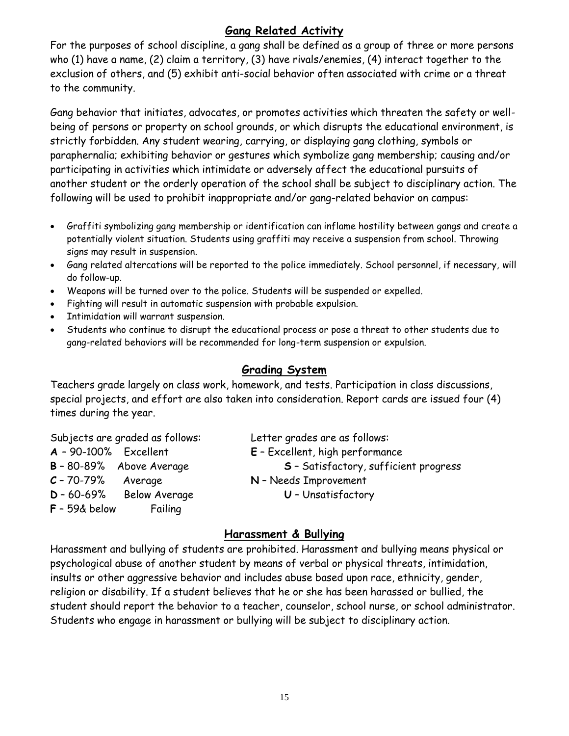## **Gang Related Activity**

<span id="page-16-0"></span>For the purposes of school discipline, a gang shall be defined as a group of three or more persons who (1) have a name, (2) claim a territory, (3) have rivals/enemies, (4) interact together to the exclusion of others, and (5) exhibit anti-social behavior often associated with crime or a threat to the community.

Gang behavior that initiates, advocates, or promotes activities which threaten the safety or wellbeing of persons or property on school grounds, or which disrupts the educational environment, is strictly forbidden. Any student wearing, carrying, or displaying gang clothing, symbols or paraphernalia; exhibiting behavior or gestures which symbolize gang membership; causing and/or participating in activities which intimidate or adversely affect the educational pursuits of another student or the orderly operation of the school shall be subject to disciplinary action. The following will be used to prohibit inappropriate and/or gang-related behavior on campus:

- Graffiti symbolizing gang membership or identification can inflame hostility between gangs and create a potentially violent situation. Students using graffiti may receive a suspension from school. Throwing signs may result in suspension.
- Gang related altercations will be reported to the police immediately. School personnel, if necessary, will do follow-up.
- Weapons will be turned over to the police. Students will be suspended or expelled.
- Fighting will result in automatic suspension with probable expulsion.
- **•** Intimidation will warrant suspension.
- Students who continue to disrupt the educational process or pose a threat to other students due to gang-related behaviors will be recommended for long-term suspension or expulsion.

#### **Grading System**

<span id="page-16-1"></span>Teachers grade largely on class work, homework, and tests. Participation in class discussions, special projects, and effort are also taken into consideration. Report cards are issued four (4) times during the year.

| Subjects are graded as follows: |                          | Letter grades are as follows:         |
|---------------------------------|--------------------------|---------------------------------------|
| $A - 90-100%$ Excellent         |                          | E - Excellent, high performance       |
|                                 | B - 80-89% Above Average | S - Satisfactory, sufficient progress |
| $C - 70 - 79%$                  | Average                  | N - Needs Improvement                 |
| $D - 60 - 69%$                  | Below Average            | U - Unsatisfactory                    |
| $F - 59$ & below                | Failing                  |                                       |

#### **Harassment & Bullying**

<span id="page-16-2"></span>Harassment and bullying of students are prohibited. Harassment and bullying means physical or psychological abuse of another student by means of verbal or physical threats, intimidation, insults or other aggressive behavior and includes abuse based upon race, ethnicity, gender, religion or disability. If a student believes that he or she has been harassed or bullied, the student should report the behavior to a teacher, counselor, school nurse, or school administrator. Students who engage in harassment or bullying will be subject to disciplinary action.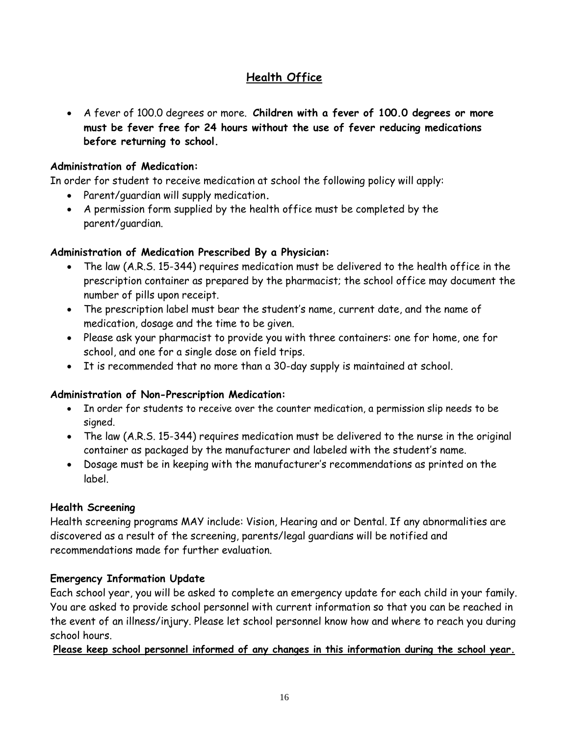## **Health Office**

<span id="page-17-0"></span> A fever of 100.0 degrees or more. **Children with a fever of 100.0 degrees or more must be fever free for 24 hours without the use of fever reducing medications before returning to school.**

#### **Administration of Medication:**

In order for student to receive medication at school the following policy will apply:

- Parent/guardian will supply medication**.**
- A permission form supplied by the health office must be completed by the parent/guardian.

## **Administration of Medication Prescribed By a Physician:**

- The law (A.R.S. 15-344) requires medication must be delivered to the health office in the prescription container as prepared by the pharmacist; the school office may document the number of pills upon receipt.
- The prescription label must bear the student's name, current date, and the name of medication, dosage and the time to be given.
- Please ask your pharmacist to provide you with three containers: one for home, one for school, and one for a single dose on field trips.
- It is recommended that no more than a 30-day supply is maintained at school.

#### **Administration of Non-Prescription Medication:**

- In order for students to receive over the counter medication, a permission slip needs to be signed.
- The law (A.R.S. 15-344) requires medication must be delivered to the nurse in the original container as packaged by the manufacturer and labeled with the student's name.
- Dosage must be in keeping with the manufacturer's recommendations as printed on the label.

#### **Health Screening**

Health screening programs MAY include: Vision, Hearing and or Dental. If any abnormalities are discovered as a result of the screening, parents/legal guardians will be notified and recommendations made for further evaluation.

## **Emergency Information Update**

Each school year, you will be asked to complete an emergency update for each child in your family. You are asked to provide school personnel with current information so that you can be reached in the event of an illness/injury. Please let school personnel know how and where to reach you during school hours.

**Please keep school personnel informed of any changes in this information during the school year.**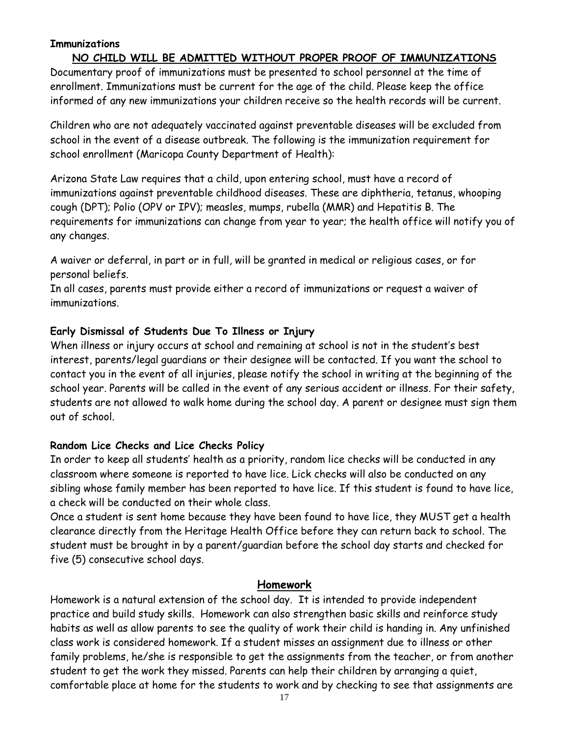#### **Immunizations**

#### **NO CHILD WILL BE ADMITTED WITHOUT PROPER PROOF OF IMMUNIZATIONS**

Documentary proof of immunizations must be presented to school personnel at the time of enrollment. Immunizations must be current for the age of the child. Please keep the office informed of any new immunizations your children receive so the health records will be current.

Children who are not adequately vaccinated against preventable diseases will be excluded from school in the event of a disease outbreak. The following is the immunization requirement for school enrollment (Maricopa County Department of Health):

Arizona State Law requires that a child, upon entering school, must have a record of immunizations against preventable childhood diseases. These are diphtheria, tetanus, whooping cough (DPT); Polio (OPV or IPV); measles, mumps, rubella (MMR) and Hepatitis B. The requirements for immunizations can change from year to year; the health office will notify you of any changes.

A waiver or deferral, in part or in full, will be granted in medical or religious cases, or for personal beliefs.

In all cases, parents must provide either a record of immunizations or request a waiver of immunizations.

#### **Early Dismissal of Students Due To Illness or Injury**

When illness or injury occurs at school and remaining at school is not in the student's best interest, parents/legal guardians or their designee will be contacted. If you want the school to contact you in the event of all injuries, please notify the school in writing at the beginning of the school year. Parents will be called in the event of any serious accident or illness. For their safety, students are not allowed to walk home during the school day. A parent or designee must sign them out of school.

#### **Random Lice Checks and Lice Checks Policy**

In order to keep all students' health as a priority, random lice checks will be conducted in any classroom where someone is reported to have lice. Lick checks will also be conducted on any sibling whose family member has been reported to have lice. If this student is found to have lice, a check will be conducted on their whole class.

Once a student is sent home because they have been found to have lice, they MUST get a health clearance directly from the Heritage Health Office before they can return back to school. The student must be brought in by a parent/guardian before the school day starts and checked for five (5) consecutive school days.

#### **Homework**

<span id="page-18-0"></span>Homework is a natural extension of the school day. It is intended to provide independent practice and build study skills. Homework can also strengthen basic skills and reinforce study habits as well as allow parents to see the quality of work their child is handing in. Any unfinished class work is considered homework. If a student misses an assignment due to illness or other family problems, he/she is responsible to get the assignments from the teacher, or from another student to get the work they missed. Parents can help their children by arranging a quiet, comfortable place at home for the students to work and by checking to see that assignments are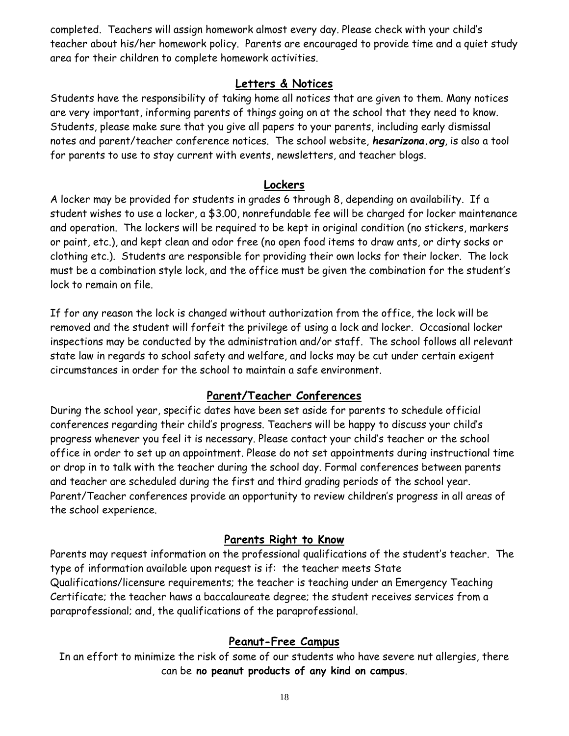completed. Teachers will assign homework almost every day. Please check with your child's teacher about his/her homework policy. Parents are encouraged to provide time and a quiet study area for their children to complete homework activities.

## **Letters & Notices**

<span id="page-19-0"></span>Students have the responsibility of taking home all notices that are given to them. Many notices are very important, informing parents of things going on at the school that they need to know. Students, please make sure that you give all papers to your parents, including early dismissal notes and parent/teacher conference notices. The school website, *hesarizona.org*, is also a tool for parents to use to stay current with events, newsletters, and teacher blogs.

#### **Lockers**

<span id="page-19-1"></span>A locker may be provided for students in grades 6 through 8, depending on availability. If a student wishes to use a locker, a \$3.00, nonrefundable fee will be charged for locker maintenance and operation. The lockers will be required to be kept in original condition (no stickers, markers or paint, etc.), and kept clean and odor free (no open food items to draw ants, or dirty socks or clothing etc.). Students are responsible for providing their own locks for their locker. The lock must be a combination style lock, and the office must be given the combination for the student's lock to remain on file.

If for any reason the lock is changed without authorization from the office, the lock will be removed and the student will forfeit the privilege of using a lock and locker. Occasional locker inspections may be conducted by the administration and/or staff. The school follows all relevant state law in regards to school safety and welfare, and locks may be cut under certain exigent circumstances in order for the school to maintain a safe environment.

## **Parent/Teacher Conferences**

<span id="page-19-2"></span>During the school year, specific dates have been set aside for parents to schedule official conferences regarding their child's progress. Teachers will be happy to discuss your child's progress whenever you feel it is necessary. Please contact your child's teacher or the school office in order to set up an appointment. Please do not set appointments during instructional time or drop in to talk with the teacher during the school day. Formal conferences between parents and teacher are scheduled during the first and third grading periods of the school year. Parent/Teacher conferences provide an opportunity to review children's progress in all areas of the school experience.

## **Parents Right to Know**

<span id="page-19-3"></span>Parents may request information on the professional qualifications of the student's teacher. The type of information available upon request is if: the teacher meets State Qualifications/licensure requirements; the teacher is teaching under an Emergency Teaching Certificate; the teacher haws a baccalaureate degree; the student receives services from a paraprofessional; and, the qualifications of the paraprofessional.

#### **Peanut-Free Campus**

<span id="page-19-4"></span>In an effort to minimize the risk of some of our students who have severe nut allergies, there can be **no peanut products of any kind on campus**.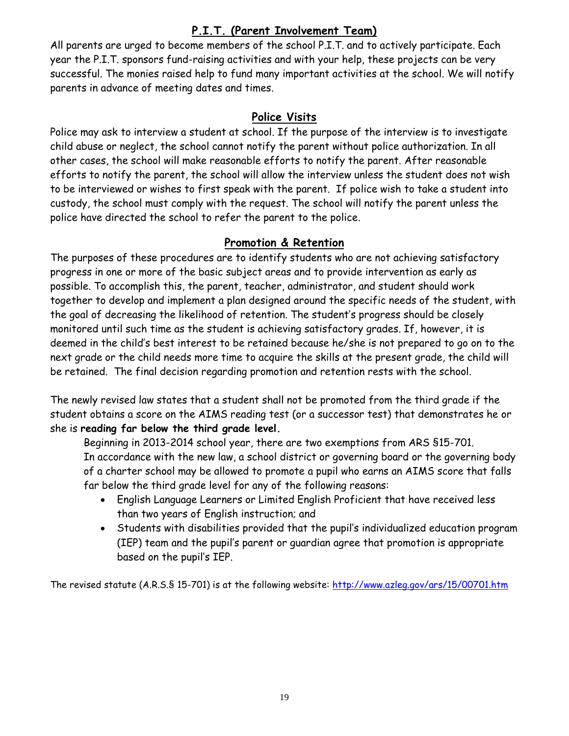## **P.I.T. (Parent Involvement Team)**

<span id="page-20-0"></span>All parents are urged to become members of the school P.I.T. and to actively participate. Each year the P.I.T. sponsors fund-raising activities and with your help, these projects can be very successful. The monies raised help to fund many important activities at the school. We will notify parents in advance of meeting dates and times.

## **Police Visits**

<span id="page-20-1"></span>Police may ask to interview a student at school. If the purpose of the interview is to investigate child abuse or neglect, the school cannot notify the parent without police authorization. In all other cases, the school will make reasonable efforts to notify the parent. After reasonable efforts to notify the parent, the school will allow the interview unless the student does not wish to be interviewed or wishes to first speak with the parent. If police wish to take a student into custody, the school must comply with the request. The school will notify the parent unless the police have directed the school to refer the parent to the police.

#### **Promotion & Retention**

<span id="page-20-2"></span>The purposes of these procedures are to identify students who are not achieving satisfactory progress in one or more of the basic subject areas and to provide intervention as early as possible. To accomplish this, the parent, teacher, administrator, and student should work together to develop and implement a plan designed around the specific needs of the student, with the goal of decreasing the likelihood of retention. The student's progress should be closely monitored until such time as the student is achieving satisfactory grades. If, however, it is deemed in the child's best interest to be retained because he/she is not prepared to go on to the next grade or the child needs more time to acquire the skills at the present grade, the child will be retained. The final decision regarding promotion and retention rests with the school.

The newly revised law states that a student shall not be promoted from the third grade if the student obtains a score on the AIMS reading test (or a successor test) that demonstrates he or she is **reading far below the third grade level.**

Beginning in 2013-2014 school year, there are two exemptions from ARS §15-701. In accordance with the new law, a school district or governing board or the governing body of a charter school may be allowed to promote a pupil who earns an AIMS score that falls far below the third grade level for any of the following reasons:

- English Language Learners or Limited English Proficient that have received less than two years of English instruction; and
- Students with disabilities provided that the pupil's individualized education program (IEP) team and the pupil's parent or guardian agree that promotion is appropriate based on the pupil's IEP.

The revised statute (A.R.S.§ 15-701) is at the following website:<http://www.azleg.gov/ars/15/00701.htm>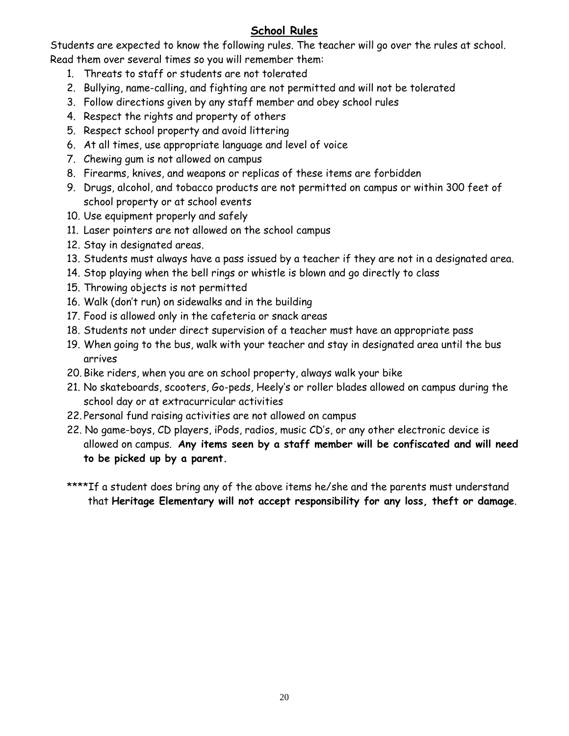## **School Rules**

<span id="page-21-0"></span>Students are expected to know the following rules. The teacher will go over the rules at school. Read them over several times so you will remember them:

- 1. Threats to staff or students are not tolerated
- 2. Bullying, name-calling, and fighting are not permitted and will not be tolerated
- 3. Follow directions given by any staff member and obey school rules
- 4. Respect the rights and property of others
- 5. Respect school property and avoid littering
- 6. At all times, use appropriate language and level of voice
- 7. Chewing gum is not allowed on campus
- 8. Firearms, knives, and weapons or replicas of these items are forbidden
- 9. Drugs, alcohol, and tobacco products are not permitted on campus or within 300 feet of school property or at school events
- 10. Use equipment properly and safely
- 11. Laser pointers are not allowed on the school campus
- 12. Stay in designated areas.
- 13. Students must always have a pass issued by a teacher if they are not in a designated area.
- 14. Stop playing when the bell rings or whistle is blown and go directly to class
- 15. Throwing objects is not permitted
- 16. Walk (don't run) on sidewalks and in the building
- 17. Food is allowed only in the cafeteria or snack areas
- 18. Students not under direct supervision of a teacher must have an appropriate pass
- 19. When going to the bus, walk with your teacher and stay in designated area until the bus arrives
- 20. Bike riders, when you are on school property, always walk your bike
- 21. No skateboards, scooters, Go-peds, Heely's or roller blades allowed on campus during the school day or at extracurricular activities
- 22. Personal fund raising activities are not allowed on campus
- 22. No game-boys, CD players, iPods, radios, music CD's, or any other electronic device is allowed on campus. **Any items seen by a staff member will be confiscated and will need to be picked up by a parent.**
- \*\*\*\*If a student does bring any of the above items he/she and the parents must understand that **Heritage Elementary will not accept responsibility for any loss, theft or damage**.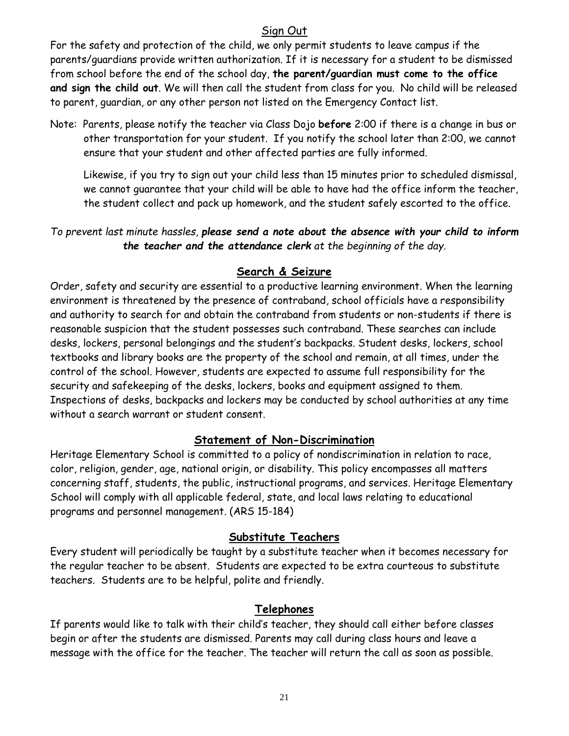## Sign Out

<span id="page-22-0"></span>For the safety and protection of the child, we only permit students to leave campus if the parents/guardians provide written authorization. If it is necessary for a student to be dismissed from school before the end of the school day, **the parent/guardian must come to the office and sign the child out**. We will then call the student from class for you. No child will be released to parent, guardian, or any other person not listed on the Emergency Contact list.

Note: Parents, please notify the teacher via Class Dojo **before** 2:00 if there is a change in bus or other transportation for your student. If you notify the school later than 2:00, we cannot ensure that your student and other affected parties are fully informed.

Likewise, if you try to sign out your child less than 15 minutes prior to scheduled dismissal, we cannot guarantee that your child will be able to have had the office inform the teacher, the student collect and pack up homework, and the student safely escorted to the office.

*To prevent last minute hassles, please send a note about the absence with your child to inform the teacher and the attendance clerk at the beginning of the day.*

#### **Search & Seizure**

<span id="page-22-1"></span>Order, safety and security are essential to a productive learning environment. When the learning environment is threatened by the presence of contraband, school officials have a responsibility and authority to search for and obtain the contraband from students or non-students if there is reasonable suspicion that the student possesses such contraband. These searches can include desks, lockers, personal belongings and the student's backpacks. Student desks, lockers, school textbooks and library books are the property of the school and remain, at all times, under the control of the school. However, students are expected to assume full responsibility for the security and safekeeping of the desks, lockers, books and equipment assigned to them. Inspections of desks, backpacks and lockers may be conducted by school authorities at any time without a search warrant or student consent.

#### **Statement of Non-Discrimination**

<span id="page-22-2"></span>Heritage Elementary School is committed to a policy of nondiscrimination in relation to race, color, religion, gender, age, national origin, or disability. This policy encompasses all matters concerning staff, students, the public, instructional programs, and services. Heritage Elementary School will comply with all applicable federal, state, and local laws relating to educational programs and personnel management. (ARS 15-184)

#### **Substitute Teachers**

<span id="page-22-3"></span>Every student will periodically be taught by a substitute teacher when it becomes necessary for the regular teacher to be absent. Students are expected to be extra courteous to substitute teachers. Students are to be helpful, polite and friendly.

## **Telephones**

<span id="page-22-4"></span>If parents would like to talk with their child's teacher, they should call either before classes begin or after the students are dismissed. Parents may call during class hours and leave a message with the office for the teacher. The teacher will return the call as soon as possible.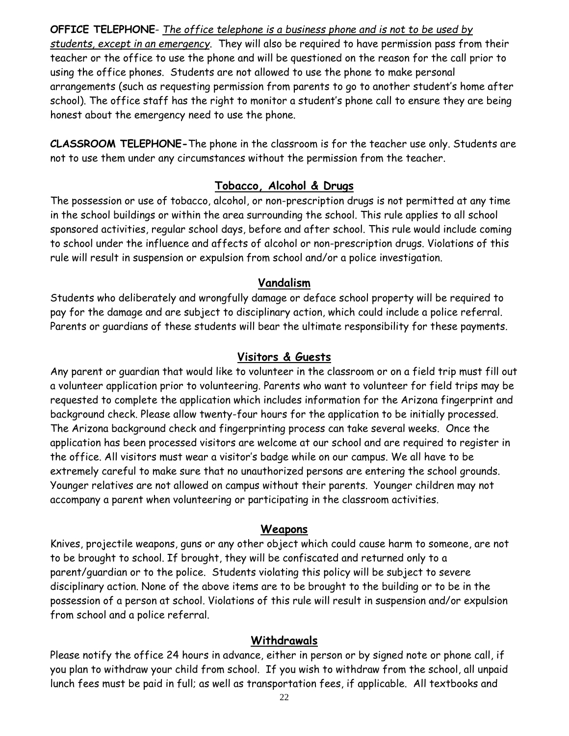**OFFICE TELEPHONE**- *The office telephone is a business phone and is not to be used by students, except in an emergency*. They will also be required to have permission pass from their teacher or the office to use the phone and will be questioned on the reason for the call prior to using the office phones. Students are not allowed to use the phone to make personal arrangements (such as requesting permission from parents to go to another student's home after school). The office staff has the right to monitor a student's phone call to ensure they are being honest about the emergency need to use the phone.

**CLASSROOM TELEPHONE-**The phone in the classroom is for the teacher use only. Students are not to use them under any circumstances without the permission from the teacher.

## **Tobacco, Alcohol & Drugs**

<span id="page-23-0"></span>The possession or use of tobacco, alcohol, or non-prescription drugs is not permitted at any time in the school buildings or within the area surrounding the school. This rule applies to all school sponsored activities, regular school days, before and after school. This rule would include coming to school under the influence and affects of alcohol or non-prescription drugs. Violations of this rule will result in suspension or expulsion from school and/or a police investigation.

## **Vandalism**

<span id="page-23-1"></span>Students who deliberately and wrongfully damage or deface school property will be required to pay for the damage and are subject to disciplinary action, which could include a police referral. Parents or guardians of these students will bear the ultimate responsibility for these payments.

## **Visitors & Guests**

<span id="page-23-2"></span>Any parent or guardian that would like to volunteer in the classroom or on a field trip must fill out a volunteer application prior to volunteering. Parents who want to volunteer for field trips may be requested to complete the application which includes information for the Arizona fingerprint and background check. Please allow twenty-four hours for the application to be initially processed. The Arizona background check and fingerprinting process can take several weeks. Once the application has been processed visitors are welcome at our school and are required to register in the office. All visitors must wear a visitor's badge while on our campus. We all have to be extremely careful to make sure that no unauthorized persons are entering the school grounds. Younger relatives are not allowed on campus without their parents. Younger children may not accompany a parent when volunteering or participating in the classroom activities.

#### **Weapons**

<span id="page-23-3"></span>Knives, projectile weapons, guns or any other object which could cause harm to someone, are not to be brought to school. If brought, they will be confiscated and returned only to a parent/guardian or to the police. Students violating this policy will be subject to severe disciplinary action. None of the above items are to be brought to the building or to be in the possession of a person at school. Violations of this rule will result in suspension and/or expulsion from school and a police referral.

#### **Withdrawals**

<span id="page-23-4"></span>Please notify the office 24 hours in advance, either in person or by signed note or phone call, if you plan to withdraw your child from school. If you wish to withdraw from the school, all unpaid lunch fees must be paid in full; as well as transportation fees, if applicable. All textbooks and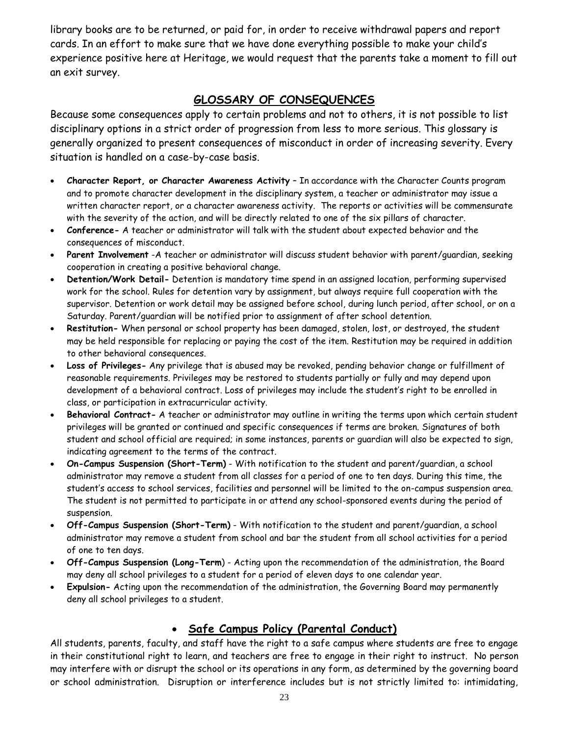library books are to be returned, or paid for, in order to receive withdrawal papers and report cards. In an effort to make sure that we have done everything possible to make your child's experience positive here at Heritage, we would request that the parents take a moment to fill out an exit survey.

## **GLOSSARY OF CONSEQUENCES**

<span id="page-24-0"></span>Because some consequences apply to certain problems and not to others, it is not possible to list disciplinary options in a strict order of progression from less to more serious. This glossary is generally organized to present consequences of misconduct in order of increasing severity. Every situation is handled on a case-by-case basis.

- **Character Report, or Character Awareness Activity** In accordance with the Character Counts program and to promote character development in the disciplinary system, a teacher or administrator may issue a written character report, or a character awareness activity. The reports or activities will be commensurate with the severity of the action, and will be directly related to one of the six pillars of character.
- **Conference-** A teacher or administrator will talk with the student about expected behavior and the consequences of misconduct.
- **Parent Involvement** -A teacher or administrator will discuss student behavior with parent/guardian, seeking cooperation in creating a positive behavioral change.
- **Detention/Work Detail-** Detention is mandatory time spend in an assigned location, performing supervised work for the school. Rules for detention vary by assignment, but always require full cooperation with the supervisor. Detention or work detail may be assigned before school, during lunch period, after school, or on a Saturday. Parent/guardian will be notified prior to assignment of after school detention.
- **Restitution-** When personal or school property has been damaged, stolen, lost, or destroyed, the student may be held responsible for replacing or paying the cost of the item. Restitution may be required in addition to other behavioral consequences.
- **Loss of Privileges-** Any privilege that is abused may be revoked, pending behavior change or fulfillment of reasonable requirements. Privileges may be restored to students partially or fully and may depend upon development of a behavioral contract. Loss of privileges may include the student's right to be enrolled in class, or participation in extracurricular activity.
- **Behavioral Contract-** A teacher or administrator may outline in writing the terms upon which certain student privileges will be granted or continued and specific consequences if terms are broken. Signatures of both student and school official are required; in some instances, parents or guardian will also be expected to sign, indicating agreement to the terms of the contract.
- **On-Campus Suspension (Short-Term)** With notification to the student and parent/guardian, a school administrator may remove a student from all classes for a period of one to ten days. During this time, the student's access to school services, facilities and personnel will be limited to the on-campus suspension area. The student is not permitted to participate in or attend any school-sponsored events during the period of suspension.
- **Off-Campus Suspension (Short-Term)** With notification to the student and parent/guardian, a school administrator may remove a student from school and bar the student from all school activities for a period of one to ten days.
- **Off-Campus Suspension (Long-Term**) Acting upon the recommendation of the administration, the Board may deny all school privileges to a student for a period of eleven days to one calendar year.
- **Expulsion-** Acting upon the recommendation of the administration, the Governing Board may permanently deny all school privileges to a student.

#### **Safe Campus Policy (Parental Conduct)**

<span id="page-24-1"></span>All students, parents, faculty, and staff have the right to a safe campus where students are free to engage in their constitutional right to learn, and teachers are free to engage in their right to instruct. No person may interfere with or disrupt the school or its operations in any form, as determined by the governing board or school administration. Disruption or interference includes but is not strictly limited to: intimidating,